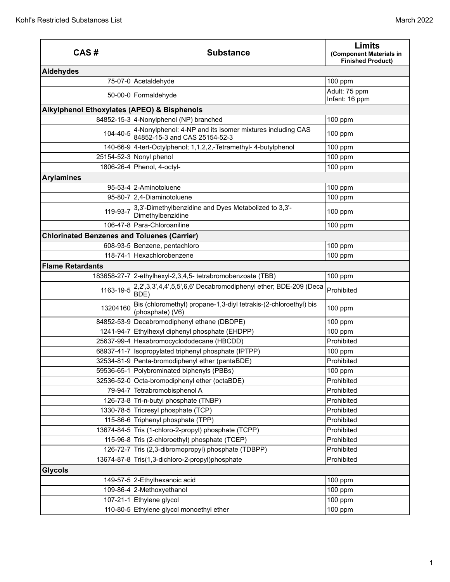| CAS#                                               | <b>Substance</b>                                                                                    | <b>Limits</b><br>(Component Materials in<br><b>Finished Product)</b> |
|----------------------------------------------------|-----------------------------------------------------------------------------------------------------|----------------------------------------------------------------------|
| <b>Aldehydes</b>                                   |                                                                                                     |                                                                      |
|                                                    | 75-07-0 Acetaldehyde                                                                                | 100 ppm                                                              |
|                                                    | 50-00-0 Formaldehyde                                                                                | Adult: 75 ppm<br>Infant: 16 ppm                                      |
| Alkylphenol Ethoxylates (APEO) & Bisphenols        |                                                                                                     |                                                                      |
|                                                    | 84852-15-3 4-Nonylphenol (NP) branched                                                              | 100 ppm                                                              |
|                                                    | 104-40-5 4-Nonylphenol: 4-NP and its isomer mixtures including CAS<br>84852-15-3 and CAS 25154-52-3 | 100 ppm                                                              |
|                                                    | 140-66-9 4-tert-Octylphenol; 1,1,2,2,-Tetramethyl- 4-butylphenol                                    | 100 ppm                                                              |
|                                                    | 25154-52-3 Nonyl phenol                                                                             | 100 ppm                                                              |
|                                                    | 1806-26-4 Phenol, 4-octyl-                                                                          | 100 ppm                                                              |
| <b>Arylamines</b>                                  |                                                                                                     |                                                                      |
|                                                    | 95-53-4 2-Aminotoluene                                                                              | 100 ppm                                                              |
|                                                    | 95-80-7 2,4-Diaminotoluene                                                                          | 100 ppm                                                              |
| 119-93-7                                           | 3,3'-Dimethylbenzidine and Dyes Metabolized to 3,3'-<br>Dimethylbenzidine                           | 100 ppm                                                              |
|                                                    | 106-47-8 Para-Chloroaniline                                                                         | 100 ppm                                                              |
| <b>Chlorinated Benzenes and Toluenes (Carrier)</b> |                                                                                                     |                                                                      |
|                                                    | 608-93-5 Benzene, pentachloro                                                                       | 100 ppm                                                              |
|                                                    | 118-74-1 Hexachlorobenzene                                                                          | 100 ppm                                                              |
| <b>Flame Retardants</b>                            |                                                                                                     |                                                                      |
|                                                    | 183658-27-7 2-ethylhexyl-2,3,4,5- tetrabromobenzoate (TBB)                                          | 100 ppm                                                              |
| 1163-19-5                                          | 2,2',3,3',4,4',5,5',6,6' Decabromodiphenyl ether; BDE-209 (Deca<br>BDE)                             | Prohibited                                                           |
| 13204160                                           | Bis (chloromethyl) propane-1,3-diyl tetrakis-(2-chloroethyl) bis<br>(phosphate) (V6)                | 100 ppm                                                              |
|                                                    | 84852-53-9 Decabromodiphenyl ethane (DBDPE)                                                         | 100 ppm                                                              |
|                                                    | 1241-94-7 Ethylhexyl diphenyl phosphate (EHDPP)                                                     | 100 ppm                                                              |
|                                                    | 25637-99-4 Hexabromocyclododecane (HBCDD)                                                           | Prohibited                                                           |
| 68937-41-7                                         | Isopropylated triphenyl phosphate (IPTPP)                                                           | 100 ppm                                                              |
|                                                    | 32534-81-9 Penta-bromodiphenyl ether (pentaBDE)                                                     | Prohibited                                                           |
|                                                    | 59536-65-1 Polybrominated biphenyls (PBBs)                                                          | 100 ppm                                                              |
|                                                    | 32536-52-0 Octa-bromodiphenyl ether (octaBDE)                                                       | Prohibited                                                           |
|                                                    | 79-94-7 Tetrabromobisphenol A                                                                       | Prohibited                                                           |
|                                                    | 126-73-8 Tri-n-butyl phosphate (TNBP)                                                               | Prohibited                                                           |
|                                                    | 1330-78-5 Tricresyl phosphate (TCP)                                                                 | Prohibited                                                           |
|                                                    | 115-86-6 Triphenyl phosphate (TPP)                                                                  | Prohibited                                                           |
|                                                    | 13674-84-5 Tris (1-chloro-2-propyl) phosphate (TCPP)                                                | Prohibited                                                           |
|                                                    | 115-96-8 Tris (2-chloroethyl) phosphate (TCEP)                                                      | Prohibited                                                           |
|                                                    | 126-72-7 Tris (2,3-dibromopropyl) phosphate (TDBPP)                                                 | Prohibited                                                           |
|                                                    | 13674-87-8 Tris(1,3-dichloro-2-propyl)phosphate                                                     | Prohibited                                                           |
| <b>Glycols</b>                                     |                                                                                                     |                                                                      |
|                                                    | 149-57-5 2-Ethylhexanoic acid                                                                       | 100 ppm                                                              |
|                                                    | 109-86-4 2-Methoxyethanol                                                                           | 100 ppm                                                              |
|                                                    | 107-21-1 Ethylene glycol                                                                            | 100 ppm                                                              |
|                                                    | 110-80-5 Ethylene glycol monoethyl ether                                                            | 100 ppm                                                              |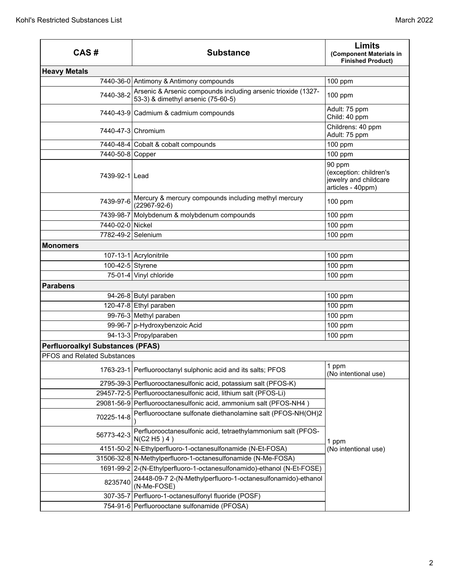| CAS#                                    | <b>Substance</b>                                                                                    | <b>Limits</b><br>(Component Materials in<br><b>Finished Product)</b>           |
|-----------------------------------------|-----------------------------------------------------------------------------------------------------|--------------------------------------------------------------------------------|
| <b>Heavy Metals</b>                     |                                                                                                     |                                                                                |
|                                         | 7440-36-0 Antimony & Antimony compounds                                                             | $100$ ppm                                                                      |
| 7440-38-2                               | Arsenic & Arsenic compounds including arsenic trioxide (1327-<br>53-3) & dimethyl arsenic (75-60-5) | 100 ppm                                                                        |
|                                         | 7440-43-9 Cadmium & cadmium compounds                                                               | Adult: 75 ppm<br>Child: 40 ppm                                                 |
|                                         | 7440-47-3 Chromium                                                                                  | Childrens: 40 ppm<br>Adult: 75 ppm                                             |
|                                         | 7440-48-4 Cobalt & cobalt compounds                                                                 | 100 ppm                                                                        |
| 7440-50-8 Copper                        |                                                                                                     | 100 ppm                                                                        |
| 7439-92-1 Lead                          |                                                                                                     | 90 ppm<br>(exception: children's<br>jewelry and childcare<br>articles - 40ppm) |
|                                         | 7439-97-6 Mercury & mercury compounds including methyl mercury<br>$(22967-92-6)$                    | 100 ppm                                                                        |
| 7439-98-7                               | Molybdenum & molybdenum compounds                                                                   | 100 ppm                                                                        |
| 7440-02-0 Nickel                        |                                                                                                     | 100 ppm                                                                        |
| 7782-49-2 Selenium                      |                                                                                                     | 100 ppm                                                                        |
| <b>Monomers</b>                         |                                                                                                     |                                                                                |
|                                         | 107-13-1 Acrylonitrile                                                                              | 100 ppm                                                                        |
| 100-42-5 Styrene                        |                                                                                                     | 100 ppm                                                                        |
|                                         | 75-01-4 Vinyl chloride                                                                              | 100 ppm                                                                        |
| <b>Parabens</b>                         |                                                                                                     |                                                                                |
|                                         | 94-26-8 Butyl paraben                                                                               | 100 ppm                                                                        |
|                                         | 120-47-8 Ethyl paraben                                                                              | 100 ppm                                                                        |
|                                         | 99-76-3 Methyl paraben                                                                              | 100 ppm                                                                        |
|                                         | 99-96-7 p-Hydroxybenzoic Acid                                                                       | 100 ppm                                                                        |
|                                         | 94-13-3 Propylparaben                                                                               | 100 ppm                                                                        |
| <b>Perfluoroalkyl Substances (PFAS)</b> |                                                                                                     |                                                                                |
| <b>PFOS and Related Substances</b>      |                                                                                                     |                                                                                |
|                                         | 1763-23-1 Perfluorooctanyl sulphonic acid and its salts; PFOS                                       | 1 ppm<br>(No intentional use)                                                  |
|                                         | 2795-39-3 Perfluorooctanesulfonic acid, potassium salt (PFOS-K)                                     |                                                                                |
|                                         | 29457-72-5   Perfluorooctanesulfonic acid, lithium salt (PFOS-Li)                                   |                                                                                |
|                                         | 29081-56-9 Perfluorooctanesulfonic acid, ammonium salt (PFOS-NH4)                                   | 1 ppm                                                                          |
| 70225-14-8                              | Perfluorooctane sulfonate diethanolamine salt (PFOS-NH(OH)2                                         |                                                                                |
| 56773-42-3                              | Perfluorooctanesulfonic acid, tetraethylammonium salt (PFOS-<br>N(C2 H5) 4)                         |                                                                                |
|                                         | 4151-50-2 N-Ethylperfluoro-1-octanesulfonamide (N-Et-FOSA)                                          | (No intentional use)                                                           |
|                                         | 31506-32-8 N-Methylperfluoro-1-octanesulfonamide (N-Me-FOSA)                                        |                                                                                |
|                                         | 1691-99-2   2-(N-Ethylperfluoro-1-octanesulfonamido)-ethanol (N-Et-FOSE)                            |                                                                                |
| 8235740                                 | 24448-09-7 2-(N-Methylperfluoro-1-octanesulfonamido)-ethanol<br>(N-Me-FOSE)                         |                                                                                |
|                                         | 307-35-7 Perfluoro-1-octanesulfonyl fluoride (POSF)                                                 |                                                                                |
|                                         | 754-91-6 Perfluorooctane sulfonamide (PFOSA)                                                        |                                                                                |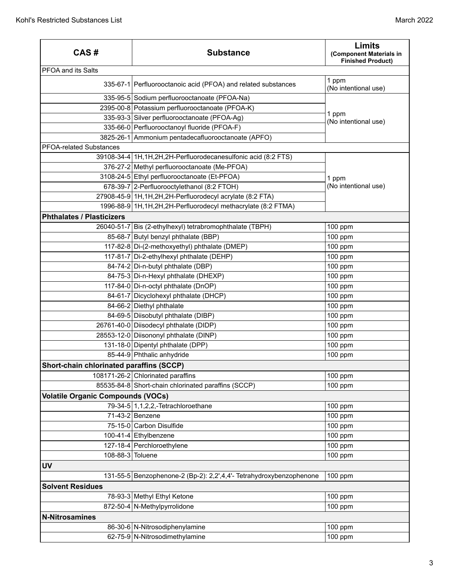| CAS#                                     | <b>Substance</b>                                                    | <b>Limits</b><br>(Component Materials in<br><b>Finished Product)</b> |
|------------------------------------------|---------------------------------------------------------------------|----------------------------------------------------------------------|
| <b>PFOA and its Salts</b>                |                                                                     |                                                                      |
|                                          | 335-67-1 Perfluorooctanoic acid (PFOA) and related substances       | 1 ppm<br>(No intentional use)                                        |
|                                          | 335-95-5 Sodium perfluorooctanoate (PFOA-Na)                        |                                                                      |
|                                          | 2395-00-8 Potassium perfluorooctanoate (PFOA-K)                     | 1 ppm<br>(No intentional use)                                        |
|                                          | 335-93-3 Silver perfluorooctanoate (PFOA-Ag)                        |                                                                      |
|                                          | 335-66-0 Perfluorooctanoyl fluoride (PFOA-F)                        |                                                                      |
|                                          | 3825-26-1 Ammonium pentadecafluorooctanoate (APFO)                  |                                                                      |
| <b>PFOA-related Substances</b>           |                                                                     |                                                                      |
|                                          | 39108-34-4 1H, 1H, 2H, 2H-Perfluorodecanesulfonic acid (8:2 FTS)    |                                                                      |
|                                          | 376-27-2 Methyl perfluorooctanoate (Me-PFOA)                        |                                                                      |
|                                          | 3108-24-5 Ethyl perfluorooctanoate (Et-PFOA)                        | 1 ppm                                                                |
|                                          | 678-39-7 2-Perfluorooctylethanol (8:2 FTOH)                         | (No intentional use)                                                 |
|                                          | 27908-45-9 1H, 1H, 2H, 2H-Perfluorodecyl acrylate (8:2 FTA)         |                                                                      |
|                                          | 1996-88-9 1H, 1H, 2H, 2H-Perfluorodecyl methacrylate (8:2 FTMA)     |                                                                      |
| <b>Phthalates / Plasticizers</b>         |                                                                     |                                                                      |
|                                          | 26040-51-7 Bis (2-ethylhexyl) tetrabromophthalate (TBPH)            | 100 ppm                                                              |
|                                          | 85-68-7 Butyl benzyl phthalate (BBP)                                | 100 ppm                                                              |
|                                          | 117-82-8 Di-(2-methoxyethyl) phthalate (DMEP)                       | 100 ppm                                                              |
|                                          | 117-81-7 Di-2-ethylhexyl phthalate (DEHP)                           | 100 ppm                                                              |
|                                          | 84-74-2 Di-n-butyl phthalate (DBP)                                  | 100 ppm                                                              |
|                                          | 84-75-3 Di-n-Hexyl phthalate (DHEXP)                                | 100 ppm                                                              |
|                                          | 117-84-0 Di-n-octyl phthalate (DnOP)                                | 100 ppm                                                              |
|                                          | 84-61-7 Dicyclohexyl phthalate (DHCP)                               | 100 ppm                                                              |
|                                          | 84-66-2 Diethyl phthalate                                           | 100 ppm                                                              |
|                                          | 84-69-5 Diisobutyl phthalate (DIBP)                                 | 100 ppm                                                              |
|                                          | 26761-40-0 Diisodecyl phthalate (DIDP)                              | 100 ppm                                                              |
|                                          | 28553-12-0 Diisononyl phthalate (DINP)                              | 100 ppm                                                              |
|                                          | 131-18-0 Dipentyl phthalate (DPP)                                   | 100 ppm                                                              |
|                                          | 85-44-9 Phthalic anhydride                                          | 100 ppm                                                              |
| Short-chain chlorinated paraffins (SCCP) |                                                                     |                                                                      |
|                                          | 108171-26-2 Chlorinated paraffins                                   | 100 ppm                                                              |
|                                          | 85535-84-8 Short-chain chlorinated paraffins (SCCP)                 | 100 ppm                                                              |
| <b>Volatile Organic Compounds (VOCs)</b> |                                                                     |                                                                      |
|                                          | 79-34-5 $1,1,2,2,$ -Tetrachloroethane                               | 100 ppm                                                              |
|                                          | 71-43-2 Benzene                                                     | 100 ppm                                                              |
|                                          | 75-15-0 Carbon Disulfide                                            | 100 ppm                                                              |
|                                          | 100-41-4 Ethylbenzene                                               | 100 ppm                                                              |
|                                          | 127-18-4 Perchloroethylene                                          | 100 ppm                                                              |
| 108-88-3 Toluene                         |                                                                     | 100 ppm                                                              |
| <b>UV</b>                                |                                                                     |                                                                      |
|                                          | 131-55-5 Benzophenone-2 (Bp-2): 2,2',4,4'- Tetrahydroxybenzophenone | 100 ppm                                                              |
| <b>Solvent Residues</b>                  |                                                                     |                                                                      |
|                                          | 78-93-3 Methyl Ethyl Ketone                                         | 100 ppm                                                              |
|                                          | 872-50-4 N-Methylpyrrolidone                                        | 100 ppm                                                              |
| <b>N-Nitrosamines</b>                    |                                                                     |                                                                      |
|                                          | 86-30-6 N-Nitrosodiphenylamine                                      | 100 ppm                                                              |
|                                          | 62-75-9 N-Nitrosodimethylamine                                      | 100 ppm                                                              |
|                                          |                                                                     |                                                                      |